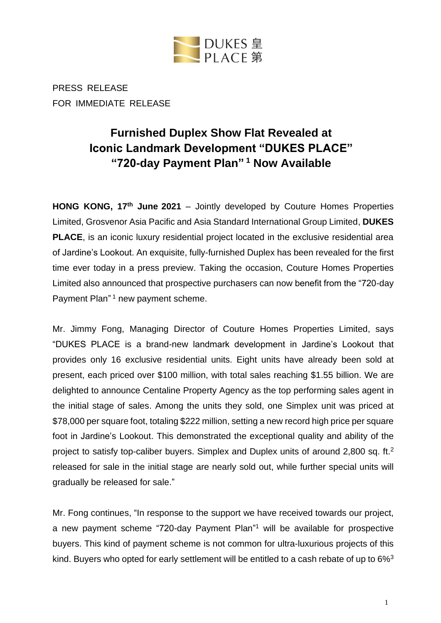

PRESS RELEASE FOR IMMEDIATE RELEASE

# **Furnished Duplex Show Flat Revealed at Iconic Landmark Development "DUKES PLACE" "720-day Payment Plan" <sup>1</sup> Now Available**

**HONG KONG, 17th June 2021** – Jointly developed by Couture Homes Properties Limited, Grosvenor Asia Pacific and Asia Standard International Group Limited, **DUKES PLACE**, is an iconic luxury residential project located in the exclusive residential area of Jardine's Lookout. An exquisite, fully-furnished Duplex has been revealed for the first time ever today in a press preview. Taking the occasion, Couture Homes Properties Limited also announced that prospective purchasers can now benefit from the "720-day Payment Plan" <sup>1</sup> new payment scheme.

Mr. Jimmy Fong, Managing Director of Couture Homes Properties Limited, says "DUKES PLACE is a brand-new landmark development in Jardine's Lookout that provides only 16 exclusive residential units. Eight units have already been sold at present, each priced over \$100 million, with total sales reaching \$1.55 billion. We are delighted to announce Centaline Property Agency as the top performing sales agent in the initial stage of sales. Among the units they sold, one Simplex unit was priced at \$78,000 per square foot, totaling \$222 million, setting a new record high price per square foot in Jardine's Lookout. This demonstrated the exceptional quality and ability of the project to satisfy top-caliber buyers. Simplex and Duplex units of around 2,800 sq. ft.<sup>2</sup> released for sale in the initial stage are nearly sold out, while further special units will gradually be released for sale."

Mr. Fong continues, "In response to the support we have received towards our project, a new payment scheme "720-day Payment Plan" <sup>1</sup> will be available for prospective buyers. This kind of payment scheme is not common for ultra-luxurious projects of this kind. Buyers who opted for early settlement will be entitled to a cash rebate of up to 6%<sup>3</sup>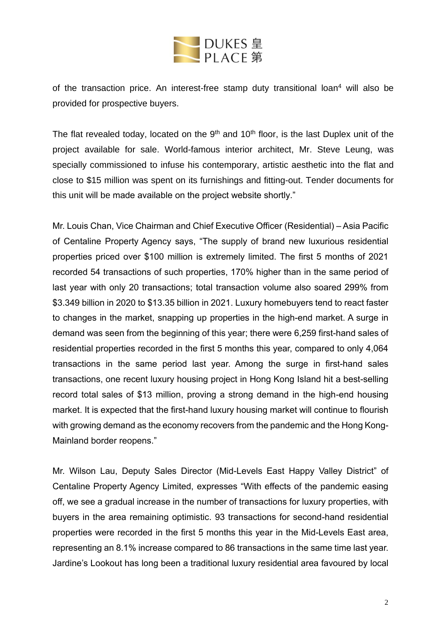

of the transaction price. An interest-free stamp duty transitional loan<sup>4</sup> will also be provided for prospective buyers.

The flat revealed today, located on the  $9<sup>th</sup>$  and 10<sup>th</sup> floor, is the last Duplex unit of the project available for sale. World-famous interior architect, Mr. Steve Leung, was specially commissioned to infuse his contemporary, artistic aesthetic into the flat and close to \$15 million was spent on its furnishings and fitting-out. Tender documents for this unit will be made available on the project website shortly."

Mr. Louis Chan, Vice Chairman and Chief Executive Officer (Residential) – Asia Pacific of Centaline Property Agency says, "The supply of brand new luxurious residential properties priced over \$100 million is extremely limited. The first 5 months of 2021 recorded 54 transactions of such properties, 170% higher than in the same period of last year with only 20 transactions; total transaction volume also soared 299% from \$3.349 billion in 2020 to \$13.35 billion in 2021. Luxury homebuyers tend to react faster to changes in the market, snapping up properties in the high-end market. A surge in demand was seen from the beginning of this year; there were 6,259 first-hand sales of residential properties recorded in the first 5 months this year, compared to only 4,064 transactions in the same period last year. Among the surge in first-hand sales transactions, one recent luxury housing project in Hong Kong Island hit a best-selling record total sales of \$13 million, proving a strong demand in the high-end housing market. It is expected that the first-hand luxury housing market will continue to flourish with growing demand as the economy recovers from the pandemic and the Hong Kong-Mainland border reopens."

Mr. Wilson Lau, Deputy Sales Director (Mid-Levels East Happy Valley District" of Centaline Property Agency Limited, expresses "With effects of the pandemic easing off, we see a gradual increase in the number of transactions for luxury properties, with buyers in the area remaining optimistic. 93 transactions for second-hand residential properties were recorded in the first 5 months this year in the Mid-Levels East area, representing an 8.1% increase compared to 86 transactions in the same time last year. Jardine's Lookout has long been a traditional luxury residential area favoured by local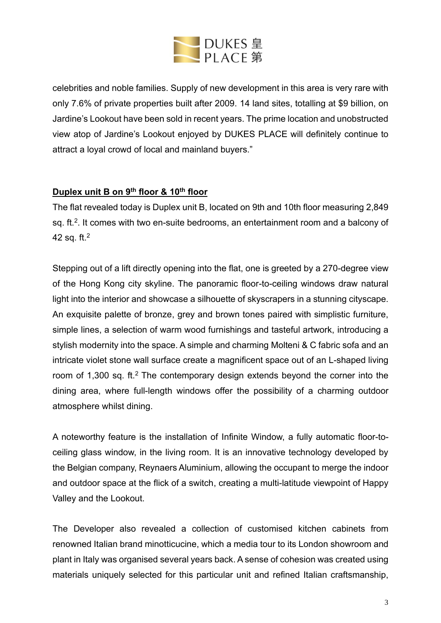

celebrities and noble families. Supply of new development in this area is very rare with only 7.6% of private properties built after 2009. 14 land sites, totalling at \$9 billion, on Jardine's Lookout have been sold in recent years. The prime location and unobstructed view atop of Jardine's Lookout enjoyed by DUKES PLACE will definitely continue to attract a loyal crowd of local and mainland buyers."

# **Duplex unit B on 9th floor & 10th floor**

The flat revealed today is Duplex unit B, located on 9th and 10th floor measuring 2,849 sq. ft.<sup>2</sup>. It comes with two en-suite bedrooms, an entertainment room and a balcony of 42 sq. ft.<sup>2</sup>

Stepping out of a lift directly opening into the flat, one is greeted by a 270-degree view of the Hong Kong city skyline. The panoramic floor-to-ceiling windows draw natural light into the interior and showcase a silhouette of skyscrapers in a stunning cityscape. An exquisite palette of bronze, grey and brown tones paired with simplistic furniture, simple lines, a selection of warm wood furnishings and tasteful artwork, introducing a stylish modernity into the space. A simple and charming Molteni & C fabric sofa and an intricate violet stone wall surface create a magnificent space out of an L-shaped living room of 1,300 sq. ft.<sup>2</sup> The contemporary design extends beyond the corner into the dining area, where full-length windows offer the possibility of a charming outdoor atmosphere whilst dining.

A noteworthy feature is the installation of Infinite Window, a fully automatic floor-toceiling glass window, in the living room. It is an innovative technology developed by the Belgian company, Reynaers Aluminium, allowing the occupant to merge the indoor and outdoor space at the flick of a switch, creating a multi-latitude viewpoint of Happy Valley and the Lookout.

The Developer also revealed a collection of customised kitchen cabinets from renowned Italian brand minotticucine, which a media tour to its London showroom and plant in Italy was organised several years back. A sense of cohesion was created using materials uniquely selected for this particular unit and refined Italian craftsmanship,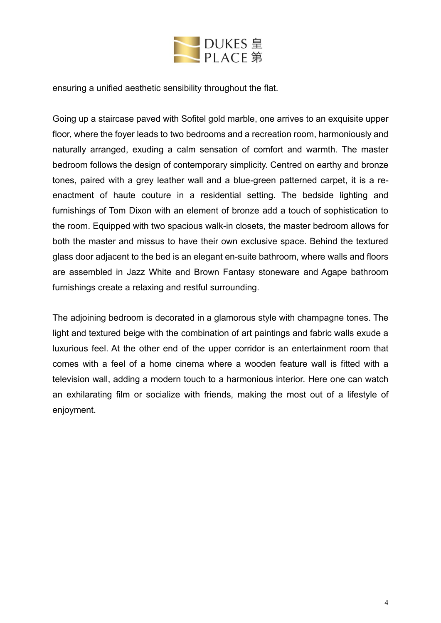

ensuring a unified aesthetic sensibility throughout the flat.

Going up a staircase paved with Sofitel gold marble, one arrives to an exquisite upper floor, where the foyer leads to two bedrooms and a recreation room, harmoniously and naturally arranged, exuding a calm sensation of comfort and warmth. The master bedroom follows the design of contemporary simplicity. Centred on earthy and bronze tones, paired with a grey leather wall and a blue-green patterned carpet, it is a reenactment of haute couture in a residential setting. The bedside lighting and furnishings of Tom Dixon with an element of bronze add a touch of sophistication to the room. Equipped with two spacious walk-in closets, the master bedroom allows for both the master and missus to have their own exclusive space. Behind the textured glass door adjacent to the bed is an elegant en-suite bathroom, where walls and floors are assembled in Jazz White and Brown Fantasy stoneware and Agape bathroom furnishings create a relaxing and restful surrounding.

The adjoining bedroom is decorated in a glamorous style with champagne tones. The light and textured beige with the combination of art paintings and fabric walls exude a luxurious feel. At the other end of the upper corridor is an entertainment room that comes with a feel of a home cinema where a wooden feature wall is fitted with a television wall, adding a modern touch to a harmonious interior. Here one can watch an exhilarating film or socialize with friends, making the most out of a lifestyle of enjoyment.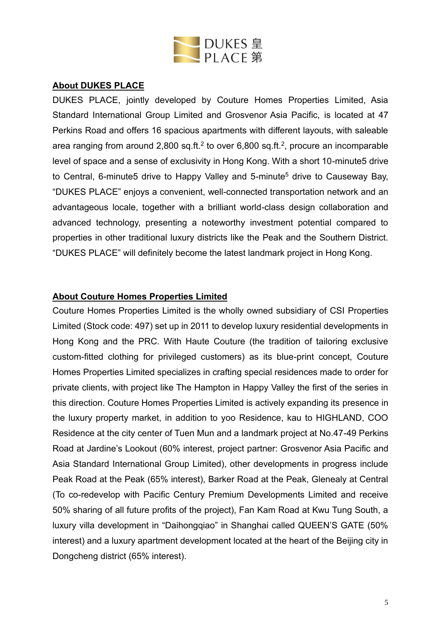

## **About DUKES PLACE**

DUKES PLACE, jointly developed by Couture Homes Properties Limited, Asia Standard International Group Limited and Grosvenor Asia Pacific, is located at 47 Perkins Road and offers 16 spacious apartments with different layouts, with saleable area ranging from around 2,800 sq.ft.<sup>2</sup> to over 6,800 sq.ft.<sup>2</sup>, procure an incomparable level of space and a sense of exclusivity in Hong Kong. With a short 10-minute5 drive to Central, 6-minute5 drive to Happy Valley and 5-minute<sup>5</sup> drive to Causeway Bay, "DUKES PLACE" enjoys a convenient, well-connected transportation network and an advantageous locale, together with a brilliant world-class design collaboration and advanced technology, presenting a noteworthy investment potential compared to properties in other traditional luxury districts like the Peak and the Southern District. "DUKES PLACE" will definitely become the latest landmark project in Hong Kong.

#### **About Couture Homes Properties Limited**

Couture Homes Properties Limited is the wholly owned subsidiary of CSI Properties Limited (Stock code: 497) set up in 2011 to develop luxury residential developments in Hong Kong and the PRC. With Haute Couture (the tradition of tailoring exclusive custom-fitted clothing for privileged customers) as its blue-print concept, Couture Homes Properties Limited specializes in crafting special residences made to order for private clients, with project like The Hampton in Happy Valley the first of the series in this direction. Couture Homes Properties Limited is actively expanding its presence in the luxury property market, in addition to yoo Residence, kau to HIGHLAND, COO Residence at the city center of Tuen Mun and a landmark project at No.47-49 Perkins Road at Jardine's Lookout (60% interest, project partner: Grosvenor Asia Pacific and Asia Standard International Group Limited), other developments in progress include Peak Road at the Peak (65% interest), Barker Road at the Peak, Glenealy at Central (To co-redevelop with Pacific Century Premium Developments Limited and receive 50% sharing of all future profits of the project), Fan Kam Road at Kwu Tung South, a luxury villa development in "Daihongqiao" in Shanghai called QUEEN'S GATE (50% interest) and a luxury apartment development located at the heart of the Beijing city in Dongcheng district (65% interest).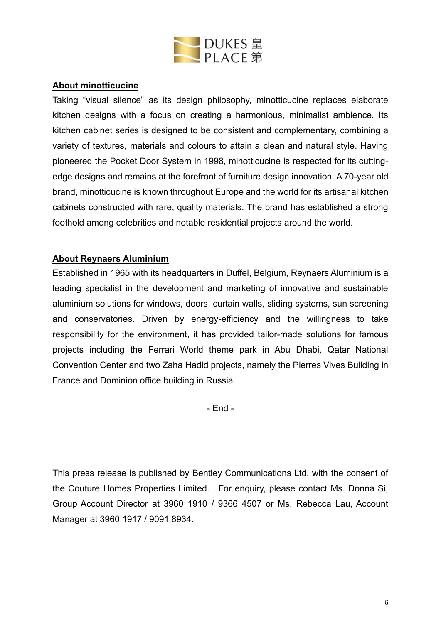

## **About minotticucine**

Taking "visual silence" as its design philosophy, minotticucine replaces elaborate kitchen designs with a focus on creating a harmonious, minimalist ambience. Its kitchen cabinet series is designed to be consistent and complementary, combining a variety of textures, materials and colours to attain a clean and natural style. Having pioneered the Pocket Door System in 1998, minotticucine is respected for its cuttingedge designs and remains at the forefront of furniture design innovation. A 70-year old brand, minotticucine is known throughout Europe and the world for its artisanal kitchen cabinets constructed with rare, quality materials. The brand has established a strong foothold among celebrities and notable residential projects around the world.

# **About Reynaers Aluminium**

Established in 1965 with its headquarters in Duffel, Belgium, Reynaers Aluminium is a leading specialist in the development and marketing of innovative and sustainable aluminium solutions for windows, doors, curtain walls, sliding systems, sun screening and conservatories. Driven by energy-efficiency and the willingness to take responsibility for the environment, it has provided tailor-made solutions for famous projects including the Ferrari World theme park in Abu Dhabi, Qatar National Convention Center and two Zaha Hadid projects, namely the Pierres Vives Building in France and Dominion office building in Russia.

- End -

This press release is published by Bentley Communications Ltd. with the consent of the Couture Homes Properties Limited. For enquiry, please contact Ms. Donna Si, Group Account Director at 3960 1910 / 9366 4507 or Ms. Rebecca Lau, Account Manager at 3960 1917 / 9091 8934.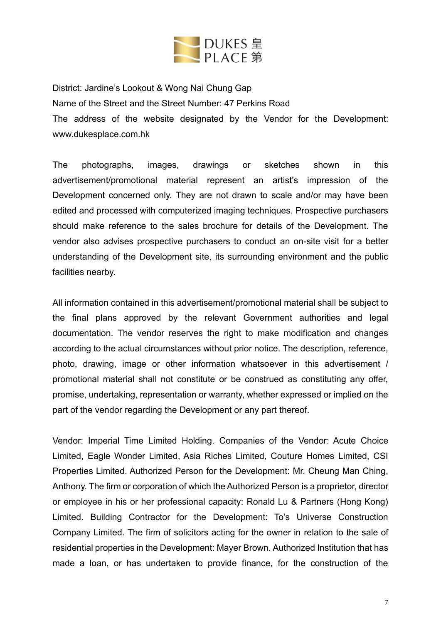

District: Jardine's Lookout & Wong Nai Chung Gap Name of the Street and the Street Number: 47 Perkins Road The address of the website designated by the Vendor for the Development: [www.dukesplace.com.hk](http://www.dukesplace.com.hk/)

The photographs, images, drawings or sketches shown in this advertisement/promotional material represent an artist's impression of the Development concerned only. They are not drawn to scale and/or may have been edited and processed with computerized imaging techniques. Prospective purchasers should make reference to the sales brochure for details of the Development. The vendor also advises prospective purchasers to conduct an on-site visit for a better understanding of the Development site, its surrounding environment and the public facilities nearby.

All information contained in this advertisement/promotional material shall be subject to the final plans approved by the relevant Government authorities and legal documentation. The vendor reserves the right to make modification and changes according to the actual circumstances without prior notice. The description, reference, photo, drawing, image or other information whatsoever in this advertisement / promotional material shall not constitute or be construed as constituting any offer, promise, undertaking, representation or warranty, whether expressed or implied on the part of the vendor regarding the Development or any part thereof.

Vendor: Imperial Time Limited Holding. Companies of the Vendor: Acute Choice Limited, Eagle Wonder Limited, Asia Riches Limited, Couture Homes Limited, CSI Properties Limited. Authorized Person for the Development: Mr. Cheung Man Ching, Anthony. The firm or corporation of which the Authorized Person is a proprietor, director or employee in his or her professional capacity: Ronald Lu & Partners (Hong Kong) Limited. Building Contractor for the Development: To's Universe Construction Company Limited. The firm of solicitors acting for the owner in relation to the sale of residential properties in the Development: Mayer Brown. Authorized Institution that has made a loan, or has undertaken to provide finance, for the construction of the